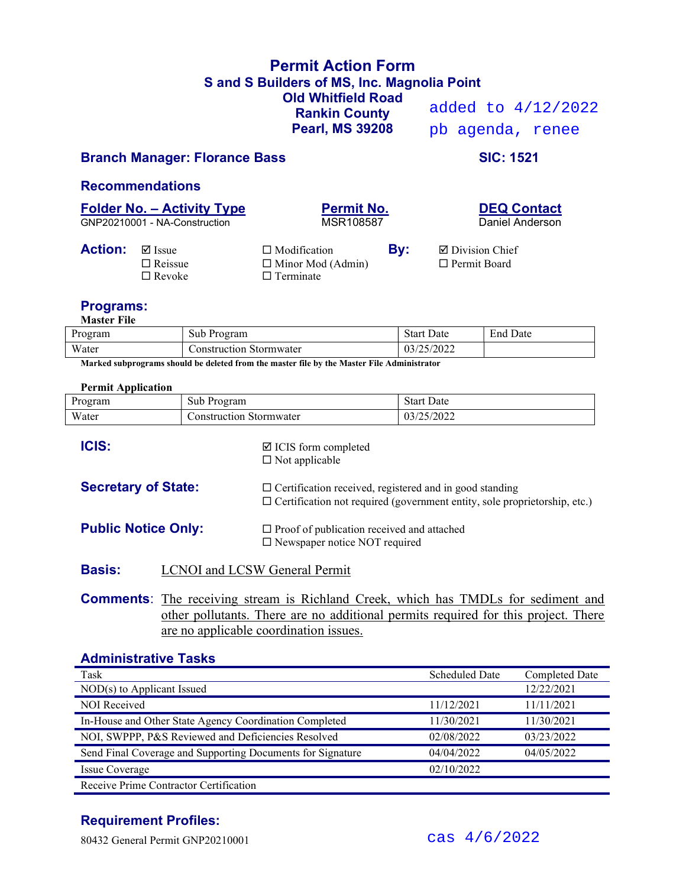## Permit Action Form S and S Builders of MS, Inc. Magnolia Point Old Whitfield Road Rankin County Pearl, MS 39208

added to 4/12/2022 pb agenda, renee

### Branch Manager: Florance Bass SIC: 1521

#### Recommendations

# Folder No. – Activity Type<br>
GNP20210001 - NA-Construction<br>
MSR108587<br>
MSR108587<br>
Daniel Anderson

GNP20210001 - NA-Construction

| Permit No. |  |
|------------|--|
| MSR108587  |  |

| <b>Action:</b> | ⊠ Issue        | $\Box$ Modification      | By: | $\boxtimes$ Division Chief |
|----------------|----------------|--------------------------|-----|----------------------------|
|                | $\Box$ Reissue | $\Box$ Minor Mod (Admin) |     | $\Box$ Permit Board        |
|                | $\Box$ Revoke  | $\Box$ Terminate         |     |                            |
|                |                |                          |     |                            |

### Programs:

Master File

| Program | $\sim$<br>Sub<br>Program   | Start<br>Date | End<br>' Date |
|---------|----------------------------|---------------|---------------|
| Water   | `onstruction<br>Stormwater | /2022<br>U37  |               |

Marked subprograms should be deleted from the master file by the Master File Administrator

#### Permit Application

| Program                    | Sub Program                                              | <b>Start Date</b>                                                                                                                                  |  |  |
|----------------------------|----------------------------------------------------------|----------------------------------------------------------------------------------------------------------------------------------------------------|--|--|
| Water                      | <b>Construction Stormwater</b>                           | 03/25/2022                                                                                                                                         |  |  |
| <b>ICIS:</b>               | $\boxtimes$ ICIS form completed<br>$\Box$ Not applicable |                                                                                                                                                    |  |  |
| <b>Secretary of State:</b> |                                                          | $\Box$ Certification received, registered and in good standing<br>$\Box$ Certification not required (government entity, sole proprietorship, etc.) |  |  |
| <b>Public Notice Only:</b> |                                                          | $\Box$ Proof of publication received and attached<br>$\square$ Newspaper notice NOT required                                                       |  |  |
| <b>Basis:</b>              | <b>LCNOI</b> and <b>LCSW</b> General Permit              |                                                                                                                                                    |  |  |

Comments: The receiving stream is Richland Creek, which has TMDLs for sediment and other pollutants. There are no additional permits required for this project. There are no applicable coordination issues.

### Administrative Tasks

| Task                                                       | <b>Scheduled Date</b> | <b>Completed Date</b> |  |
|------------------------------------------------------------|-----------------------|-----------------------|--|
| $NOD(s)$ to Applicant Issued                               |                       | 12/22/2021            |  |
| <b>NOI Received</b>                                        | 11/12/2021            | 11/11/2021            |  |
| In-House and Other State Agency Coordination Completed     | 11/30/2021            | 11/30/2021            |  |
| NOI, SWPPP, P&S Reviewed and Deficiencies Resolved         | 02/08/2022            | 03/23/2022            |  |
| Send Final Coverage and Supporting Documents for Signature | 04/04/2022            | 04/05/2022            |  |
| Issue Coverage                                             | 02/10/2022            |                       |  |
| Receive Prime Contractor Certification                     |                       |                       |  |

# Requirement Profiles:

80432 General Permit GNP20210001